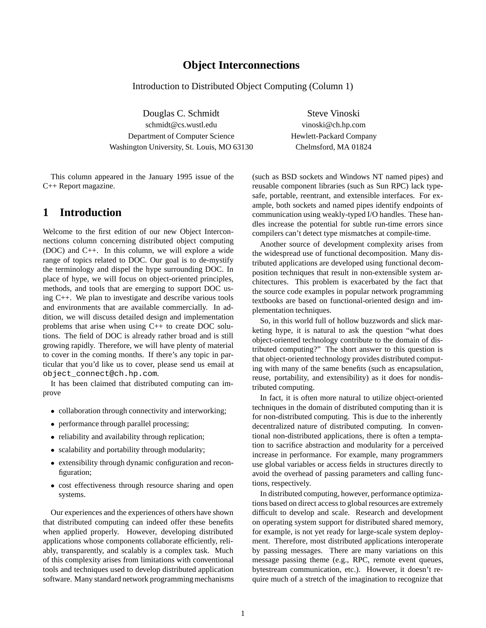## **Object Interconnections**

Introduction to Distributed Object Computing (Column 1)

Douglas C. Schmidt Steve Vinoski schmidt@cs.wustl.edu vinoski@ch.hp.com Department of Computer Science Hewlett-Packard Company Washington University, St. Louis, MO 63130 Chelmsford, MA 01824

This column appeared in the January 1995 issue of the C++ Report magazine.

## **1 Introduction**

Welcome to the first edition of our new Object Interconnections column concerning distributed object computing (DOC) and C++. In this column, we will explore a wide range of topics related to DOC. Our goal is to de-mystify the terminology and dispel the hype surrounding DOC. In place of hype, we will focus on object-oriented principles, methods, and tools that are emerging to support DOC using C++. We plan to investigate and describe various tools and environments that are available commercially. In addition, we will discuss detailed design and implementation problems that arise when using C++ to create DOC solutions. The field of DOC is already rather broad and is still growing rapidly. Therefore, we will have plenty of material to cover in the coming months. If there's any topic in particular that you'd like us to cover, please send us email at object\_connect@ch.hp.com.

It has been claimed that distributed computing can improve

- collaboration through connectivity and interworking;
- performance through parallel processing;
- reliability and availability through replication;
- scalability and portability through modularity;
- extensibility through dynamic configuration and reconfiguration;
- cost effectiveness through resource sharing and open systems.

Our experiences and the experiences of others have shown that distributed computing can indeed offer these benefits when applied properly. However, developing distributed applications whose components collaborate efficiently, reliably, transparently, and scalably is a complex task. Much of this complexity arises from limitations with conventional tools and techniques used to develop distributed application software. Many standard network programming mechanisms (such as BSD sockets and Windows NT named pipes) and reusable component libraries (such as Sun RPC) lack typesafe, portable, reentrant, and extensible interfaces. For example, both sockets and named pipes identify endpoints of communication using weakly-typed I/O handles. These handles increase the potential for subtle run-time errors since compilers can't detect type mismatches at compile-time.

Another source of development complexity arises from the widespread use of functional decomposition. Many distributed applications are developed using functional decomposition techniques that result in non-extensible system architectures. This problem is exacerbated by the fact that the source code examples in popular network programming textbooks are based on functional-oriented design and implementation techniques.

So, in this world full of hollow buzzwords and slick marketing hype, it is natural to ask the question "what does object-oriented technology contribute to the domain of distributed computing?" The short answer to this question is that object-oriented technology provides distributed computing with many of the same benefits (such as encapsulation, reuse, portability, and extensibility) as it does for nondistributed computing.

In fact, it is often more natural to utilize object-oriented techniques in the domain of distributed computing than it is for non-distributed computing. This is due to the inherently decentralized nature of distributed computing. In conventional non-distributed applications, there is often a temptation to sacrifice abstraction and modularity for a perceived increase in performance. For example, many programmers use global variables or access fields in structures directly to avoid the overhead of passing parameters and calling functions, respectively.

In distributed computing, however, performance optimizations based on direct access to global resources are extremely difficult to develop and scale. Research and development on operating system support for distributed shared memory, for example, is not yet ready for large-scale system deployment. Therefore, most distributed applications interoperate by passing messages. There are many variations on this message passing theme (e.g., RPC, remote event queues, bytestream communication, etc.). However, it doesn't require much of a stretch of the imagination to recognize that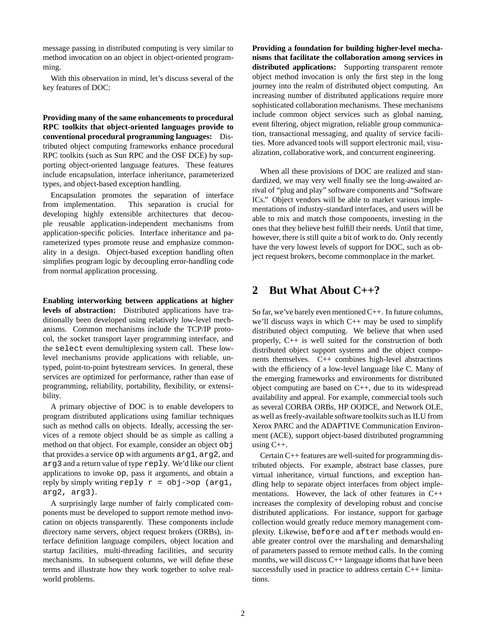message passing in distributed computing is very similar to method invocation on an object in object-oriented programming.

With this observation in mind, let's discuss several of the key features of DOC:

**Providing many of the same enhancements to procedural RPC toolkits that object-oriented languages provide to conventional procedural programming languages:** Distributed object computing frameworks enhance procedural RPC toolkits (such as Sun RPC and the OSF DCE) by supporting object-oriented language features. These features include encapsulation, interface inheritance, parameterized types, and object-based exception handling.

Encapsulation promotes the separation of interface from implementation. This separation is crucial for developing highly extensible architectures that decouple reusable application-independent mechanisms from application-specific policies. Interface inheritance and parameterized types promote reuse and emphasize commonality in a design. Object-based exception handling often simplifies program logic by decoupling error-handling code from normal application processing.

**Enabling interworking between applications at higher levels of abstraction:** Distributed applications have traditionally been developed using relatively low-level mechanisms. Common mechanisms include the TCP/IP protocol, the socket transport layer programming interface, and the select event demultiplexing system call. These lowlevel mechanisms provide applications with reliable, untyped, point-to-point bytestream services. In general, these services are optimized for performance, rather than ease of programming, reliability, portability, flexibility, or extensibility.

A primary objective of DOC is to enable developers to program distributed applications using familiar techniques such as method calls on objects. Ideally, accessing the services of a remote object should be as simple as calling a method on that object. For example, consider an object obj that provides a service op with arguments arg1, arg2, and arg3 and a return value of type reply. We'd like our client applications to invoke op, pass it arguments, and obtain a reply by simply writing reply  $r = obj \rightarrow op$  (arg1, arg2, arg3).

A surprisingly large number of fairly complicated components must be developed to support remote method invocation on objects transparently. These components include directory name servers, object request brokers (ORBs), interface definition language compilers, object location and startup facilities, multi-threading facilities, and security mechanisms. In subsequent columns, we will define these terms and illustrate how they work together to solve realworld problems.

**Providing a foundation for building higher-level mechanisms that facilitate the collaboration among services in distributed applications:** Supporting transparent remote object method invocation is only the first step in the long journey into the realm of distributed object computing. An increasing number of distributed applications require more sophisticated collaboration mechanisms. These mechanisms include common object services such as global naming, event filtering, object migration, reliable group communication, transactional messaging, and quality of service facilities. More advanced tools will support electronic mail, visualization, collaborative work, and concurrent engineering.

When all these provisions of DOC are realized and standardized, we may very well finally see the long-awaited arrival of "plug and play" software components and "Software ICs." Object vendors will be able to market various implementations of industry-standard interfaces, and users will be able to mix and match those components, investing in the ones that they believe best fulfill their needs. Until that time, however, there is still quite a bit of work to do. Only recently have the very lowest levels of support for DOC, such as object request brokers, become commonplace in the market.

## **2 But What About C++?**

So far, we've barely even mentioned C++. In future columns, we'll discuss ways in which C++ may be used to simplify distributed object computing. We believe that when used properly, C++ is well suited for the construction of both distributed object support systems and the object components themselves. C++ combines high-level abstractions with the efficiency of a low-level language like C. Many of the emerging frameworks and environments for distributed object computing are based on C++, due to its widespread availability and appeal. For example, commercial tools such as several CORBA ORBs, HP OODCE, and Network OLE, as well as freely-available software toolkits such as ILU from Xerox PARC and the ADAPTIVE Communication Environment (ACE), support object-based distributed programming using C++.

Certain C++ features are well-suited for programming distributed objects. For example, abstract base classes, pure virtual inheritance, virtual functions, and exception handling help to separate object interfaces from object implementations. However, the lack of other features in C++ increases the complexity of developing robust and concise distributed applications. For instance, support for garbage collection would greatly reduce memory management complexity. Likewise, before and after methods would enable greater control over the marshaling and demarshaling of parameters passed to remote method calls. In the coming months, we will discuss  $C_{++}$  language idioms that have been successfully used in practice to address certain C++ limitations.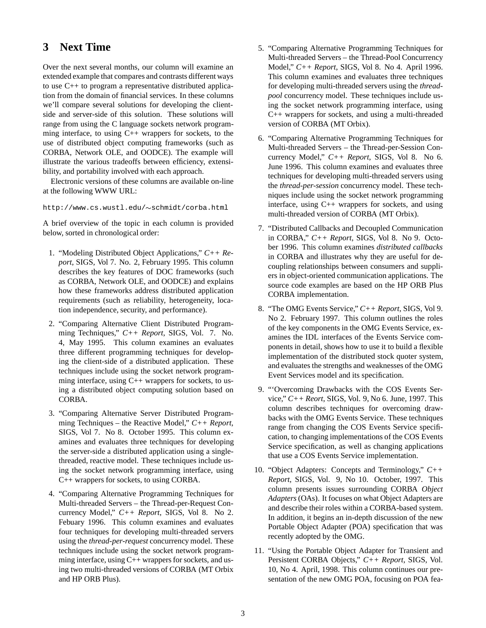## **3 Next Time**

Over the next several months, our column will examine an extended example that compares and contrasts different ways to use C++ to program a representative distributed application from the domain of financial services. In these columns we'll compare several solutions for developing the clientside and server-side of this solution. These solutions will range from using the C language sockets network programming interface, to using  $C_{++}$  wrappers for sockets, to the use of distributed object computing frameworks (such as CORBA, Network OLE, and OODCE). The example will illustrate the various tradeoffs between efficiency, extensibility, and portability involved with each approach.

Electronic versions of these columns are available on-line at the following WWW URL:

http://www.cs.wustl.edu/~schmidt/corba.html

A brief overview of the topic in each column is provided below, sorted in chronological order:

- 1. "Modeling Distributed Object Applications," *C++ Report*, SIGS, Vol 7. No. 2, February 1995. This column describes the key features of DOC frameworks (such as CORBA, Network OLE, and OODCE) and explains how these frameworks address distributed application requirements (such as reliability, heterogeneity, location independence, security, and performance).
- 2. "Comparing Alternative Client Distributed Programming Techniques," *C++ Report*, SIGS, Vol. 7. No. 4, May 1995. This column examines an evaluates three different programming techniques for developing the client-side of a distributed application. These techniques include using the socket network programming interface, using  $C_{++}$  wrappers for sockets, to using a distributed object computing solution based on CORBA.
- 3. "Comparing Alternative Server Distributed Programming Techniques – the Reactive Model," *C++ Report*, SIGS, Vol 7. No 8. October 1995. This column examines and evaluates three techniques for developing the server-side a distributed application using a singlethreaded, reactive model. These techniques include using the socket network programming interface, using C++ wrappers for sockets, to using CORBA.
- 4. "Comparing Alternative Programming Techniques for Multi-threaded Servers – the Thread-per-Request Concurrency Model," *C++ Report*, SIGS, Vol 8. No 2. Febuary 1996. This column examines and evaluates four techniques for developing multi-threaded servers using the *thread-per-request* concurrency model. These techniques include using the socket network programming interface, using C++ wrappers for sockets, and using two multi-threaded versions of CORBA (MT Orbix and HP ORB Plus).
- 5. "Comparing Alternative Programming Techniques for Multi-threaded Servers – the Thread-Pool Concurrency Model," *C++ Report*, SIGS, Vol 8. No 4. April 1996. This column examines and evaluates three techniques for developing multi-threaded servers using the *threadpool* concurrency model. These techniques include using the socket network programming interface, using C++ wrappers for sockets, and using a multi-threaded version of CORBA (MT Orbix).
- 6. "Comparing Alternative Programming Techniques for Multi-threaded Servers – the Thread-per-Session Concurrency Model," *C++ Report*, SIGS, Vol 8. No 6. June 1996. This column examines and evaluates three techniques for developing multi-threaded servers using the *thread-per-session* concurrency model. These techniques include using the socket network programming interface, using C++ wrappers for sockets, and using multi-threaded version of CORBA (MT Orbix).
- 7. "Distributed Callbacks and Decoupled Communication in CORBA," *C++ Report*, SIGS, Vol 8. No 9. October 1996. This column examines *distributed callbacks* in CORBA and illustrates why they are useful for decoupling relationships between consumers and suppliers in object-oriented communication applications. The source code examples are based on the HP ORB Plus CORBA implementation.
- 8. "The OMG Events Service," *C++ Report*, SIGS, Vol 9. No 2. February 1997. This column outlines the roles of the key components in the OMG Events Service, examines the IDL interfaces of the Events Service components in detail, shows how to use it to build a flexible implementation of the distributed stock quoter system, and evaluates the strengths and weaknesses of the OMG Event Services model and its specification.
- 9. "'Overcoming Drawbacks with the COS Events Service," *C++ Reort*, SIGS, Vol. 9, No 6. June, 1997. This column describes techniques for overcoming drawbacks with the OMG Events Service. These techniques range from changing the COS Events Service specification, to changing implementations of the COS Events Service specification, as well as changing applications that use a COS Events Service implementation.
- 10. "Object Adapters: Concepts and Terminology," *C++ Report*, SIGS, Vol. 9, No 10. October, 1997. This column presents issues surrounding CORBA *Object Adapters*(OAs). It focuses on what Object Adapters are and describe their roles within a CORBA-based system. In addition, it begins an in-depth discussion of the new Portable Object Adapter (POA) specification that was recently adopted by the OMG.
- 11. "Using the Portable Object Adapter for Transient and Persistent CORBA Objects," *C++ Report*, SIGS, Vol. 10, No 4. April, 1998. This column continues our presentation of the new OMG POA, focusing on POA fea-